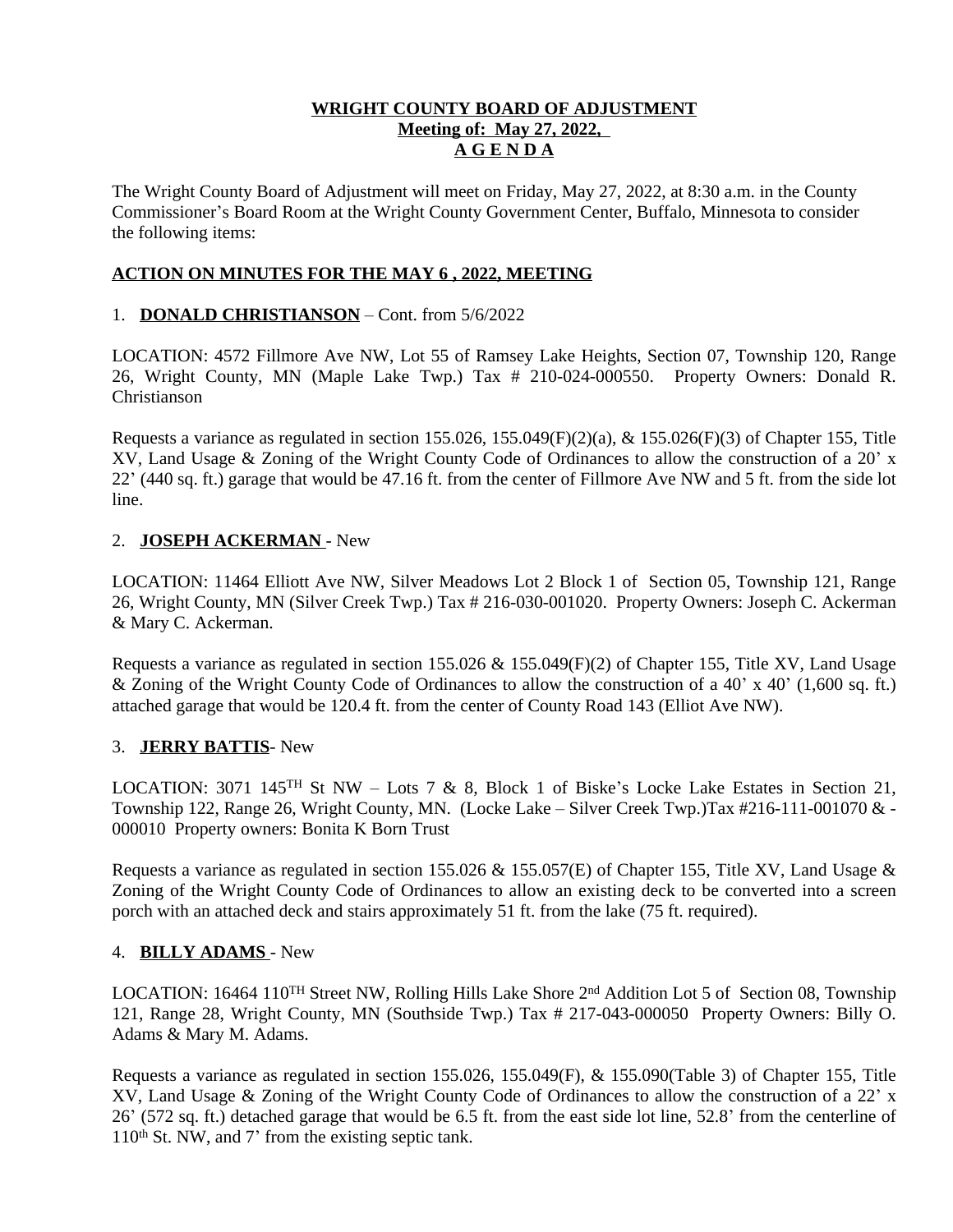## **WRIGHT COUNTY BOARD OF ADJUSTMENT Meeting of: May 27, 2022, A G E N D A**

The Wright County Board of Adjustment will meet on Friday, May 27, 2022, at 8:30 a.m. in the County Commissioner's Board Room at the Wright County Government Center, Buffalo, Minnesota to consider the following items:

# **ACTION ON MINUTES FOR THE MAY 6 , 2022, MEETING**

## 1. **DONALD CHRISTIANSON** – Cont. from 5/6/2022

LOCATION: 4572 Fillmore Ave NW, Lot 55 of Ramsey Lake Heights, Section 07, Township 120, Range 26, Wright County, MN (Maple Lake Twp.) Tax # 210-024-000550. Property Owners: Donald R. Christianson

Requests a variance as regulated in section 155.026, 155.049 $(F)(2)(a)$ , & 155.026 $(F)(3)$  of Chapter 155, Title XV, Land Usage & Zoning of the Wright County Code of Ordinances to allow the construction of a 20' x 22' (440 sq. ft.) garage that would be 47.16 ft. from the center of Fillmore Ave NW and 5 ft. from the side lot line.

### 2. **JOSEPH ACKERMAN** - New

LOCATION: 11464 Elliott Ave NW, Silver Meadows Lot 2 Block 1 of Section 05, Township 121, Range 26, Wright County, MN (Silver Creek Twp.) Tax # 216-030-001020. Property Owners: Joseph C. Ackerman & Mary C. Ackerman.

Requests a variance as regulated in section 155.026 & 155.049(F)(2) of Chapter 155, Title XV, Land Usage & Zoning of the Wright County Code of Ordinances to allow the construction of a 40' x 40' (1,600 sq. ft.) attached garage that would be 120.4 ft. from the center of County Road 143 (Elliot Ave NW).

### 3. **JERRY BATTIS**- New

LOCATION: 3071 145<sup>TH</sup> St NW – Lots 7 & 8, Block 1 of Biske's Locke Lake Estates in Section 21, Township 122, Range 26, Wright County, MN. (Locke Lake – Silver Creek Twp.)Tax #216-111-001070 & - 000010 Property owners: Bonita K Born Trust

Requests a variance as regulated in section 155.026 & 155.057(E) of Chapter 155, Title XV, Land Usage & Zoning of the Wright County Code of Ordinances to allow an existing deck to be converted into a screen porch with an attached deck and stairs approximately 51 ft. from the lake (75 ft. required).

#### 4. **BILLY ADAMS** - New

LOCATION: 16464 110<sup>TH</sup> Street NW, Rolling Hills Lake Shore 2<sup>nd</sup> Addition Lot 5 of Section 08, Township 121, Range 28, Wright County, MN (Southside Twp.) Tax # 217-043-000050 Property Owners: Billy O. Adams & Mary M. Adams.

Requests a variance as regulated in section 155.026, 155.049(F), & 155.090(Table 3) of Chapter 155, Title XV, Land Usage & Zoning of the Wright County Code of Ordinances to allow the construction of a 22' x 26' (572 sq. ft.) detached garage that would be 6.5 ft. from the east side lot line, 52.8' from the centerline of  $110<sup>th</sup>$  St. NW, and 7' from the existing septic tank.